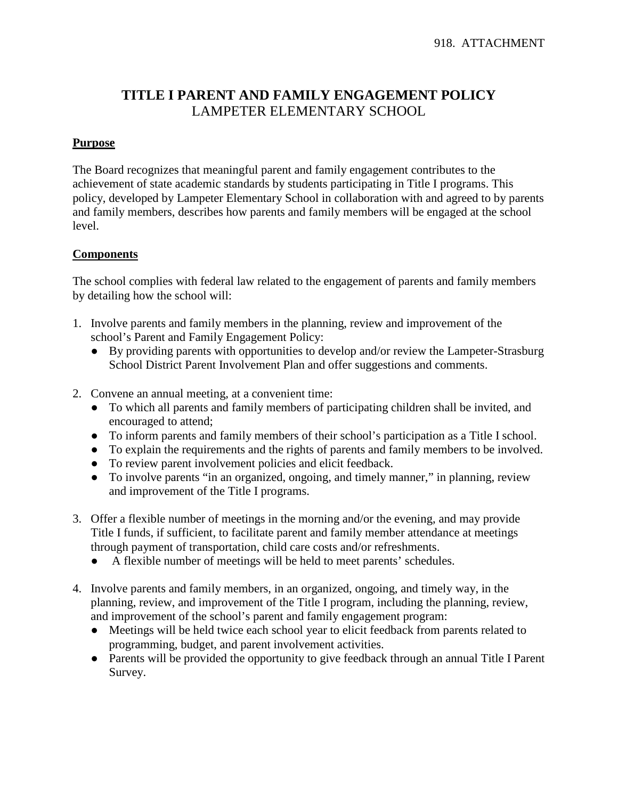## **TITLE I PARENT AND FAMILY ENGAGEMENT POLICY** LAMPETER ELEMENTARY SCHOOL

## **Purpose**

The Board recognizes that meaningful parent and family engagement contributes to the achievement of state academic standards by students participating in Title I programs. This policy, developed by Lampeter Elementary School in collaboration with and agreed to by parents and family members, describes how parents and family members will be engaged at the school level.

## **Components**

The school complies with federal law related to the engagement of parents and family members by detailing how the school will:

- 1. Involve parents and family members in the planning, review and improvement of the school's Parent and Family Engagement Policy:
	- By providing parents with opportunities to develop and/or review the Lampeter-Strasburg School District Parent Involvement Plan and offer suggestions and comments.
- 2. Convene an annual meeting, at a convenient time:
	- To which all parents and family members of participating children shall be invited, and encouraged to attend;
	- To inform parents and family members of their school's participation as a Title I school.
	- To explain the requirements and the rights of parents and family members to be involved.
	- To review parent involvement policies and elicit feedback.
	- To involve parents "in an organized, ongoing, and timely manner," in planning, review and improvement of the Title I programs.
- 3. Offer a flexible number of meetings in the morning and/or the evening, and may provide Title I funds, if sufficient, to facilitate parent and family member attendance at meetings through payment of transportation, child care costs and/or refreshments.
	- A flexible number of meetings will be held to meet parents' schedules.
- 4. Involve parents and family members, in an organized, ongoing, and timely way, in the planning, review, and improvement of the Title I program, including the planning, review, and improvement of the school's parent and family engagement program:
	- Meetings will be held twice each school year to elicit feedback from parents related to programming, budget, and parent involvement activities.
	- Parents will be provided the opportunity to give feedback through an annual Title I Parent Survey.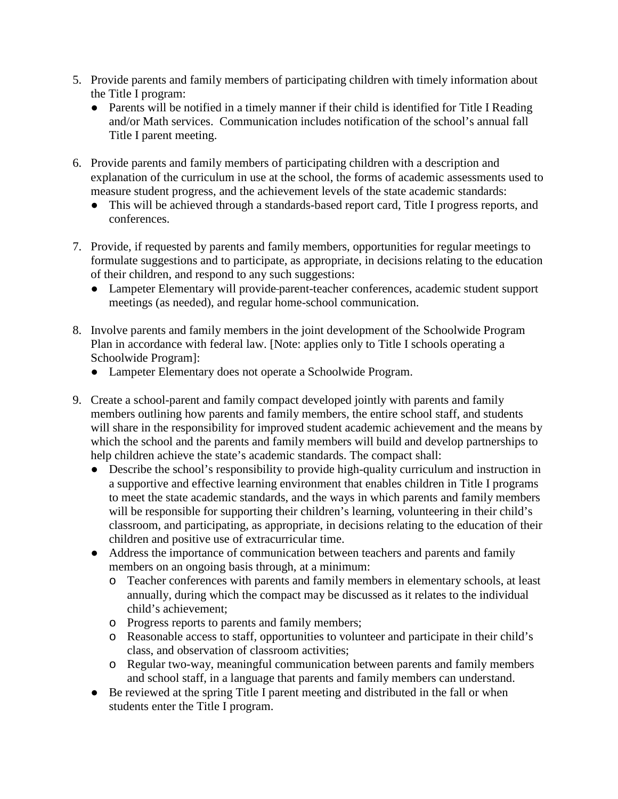- 5. Provide parents and family members of participating children with timely information about the Title I program:
	- Parents will be notified in a timely manner if their child is identified for Title I Reading and/or Math services. Communication includes notification of the school's annual fall Title I parent meeting.
- 6. Provide parents and family members of participating children with a description and explanation of the curriculum in use at the school, the forms of academic assessments used to measure student progress, and the achievement levels of the state academic standards:
	- This will be achieved through a standards-based report card, Title I progress reports, and conferences.
- 7. Provide, if requested by parents and family members, opportunities for regular meetings to formulate suggestions and to participate, as appropriate, in decisions relating to the education of their children, and respond to any such suggestions:
	- Lampeter Elementary will provide parent-teacher conferences, academic student support meetings (as needed), and regular home-school communication.
- 8. Involve parents and family members in the joint development of the Schoolwide Program Plan in accordance with federal law. [Note: applies only to Title I schools operating a Schoolwide Program]:
	- Lampeter Elementary does not operate a Schoolwide Program.
- 9. Create a school-parent and family compact developed jointly with parents and family members outlining how parents and family members, the entire school staff, and students will share in the responsibility for improved student academic achievement and the means by which the school and the parents and family members will build and develop partnerships to help children achieve the state's academic standards. The compact shall:
	- Describe the school's responsibility to provide high-quality curriculum and instruction in a supportive and effective learning environment that enables children in Title I programs to meet the state academic standards, and the ways in which parents and family members will be responsible for supporting their children's learning, volunteering in their child's classroom, and participating, as appropriate, in decisions relating to the education of their children and positive use of extracurricular time.
	- Address the importance of communication between teachers and parents and family members on an ongoing basis through, at a minimum:
		- o Teacher conferences with parents and family members in elementary schools, at least annually, during which the compact may be discussed as it relates to the individual child's achievement;
		- o Progress reports to parents and family members;
		- o Reasonable access to staff, opportunities to volunteer and participate in their child's class, and observation of classroom activities;
		- o Regular two-way, meaningful communication between parents and family members and school staff, in a language that parents and family members can understand.
	- Be reviewed at the spring Title I parent meeting and distributed in the fall or when students enter the Title I program.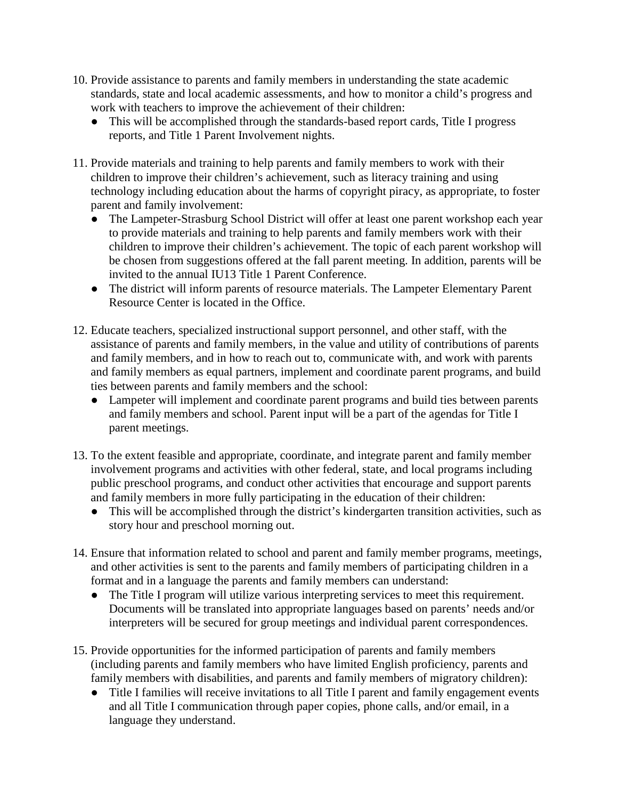- 10. Provide assistance to parents and family members in understanding the state academic standards, state and local academic assessments, and how to monitor a child's progress and work with teachers to improve the achievement of their children:
	- This will be accomplished through the standards-based report cards, Title I progress reports, and Title 1 Parent Involvement nights.
- 11. Provide materials and training to help parents and family members to work with their children to improve their children's achievement, such as literacy training and using technology including education about the harms of copyright piracy, as appropriate, to foster parent and family involvement:
	- The Lampeter-Strasburg School District will offer at least one parent workshop each year to provide materials and training to help parents and family members work with their children to improve their children's achievement. The topic of each parent workshop will be chosen from suggestions offered at the fall parent meeting. In addition, parents will be invited to the annual IU13 Title 1 Parent Conference.
	- The district will inform parents of resource materials. The Lampeter Elementary Parent Resource Center is located in the Office.
- 12. Educate teachers, specialized instructional support personnel, and other staff, with the assistance of parents and family members, in the value and utility of contributions of parents and family members, and in how to reach out to, communicate with, and work with parents and family members as equal partners, implement and coordinate parent programs, and build ties between parents and family members and the school:
	- Lampeter will implement and coordinate parent programs and build ties between parents and family members and school. Parent input will be a part of the agendas for Title I parent meetings.
- 13. To the extent feasible and appropriate, coordinate, and integrate parent and family member involvement programs and activities with other federal, state, and local programs including public preschool programs, and conduct other activities that encourage and support parents and family members in more fully participating in the education of their children:
	- This will be accomplished through the district's kindergarten transition activities, such as story hour and preschool morning out.
- 14. Ensure that information related to school and parent and family member programs, meetings, and other activities is sent to the parents and family members of participating children in a format and in a language the parents and family members can understand:
	- The Title I program will utilize various interpreting services to meet this requirement. Documents will be translated into appropriate languages based on parents' needs and/or interpreters will be secured for group meetings and individual parent correspondences.
- 15. Provide opportunities for the informed participation of parents and family members (including parents and family members who have limited English proficiency, parents and family members with disabilities, and parents and family members of migratory children):
	- Title I families will receive invitations to all Title I parent and family engagement events and all Title I communication through paper copies, phone calls, and/or email, in a language they understand.